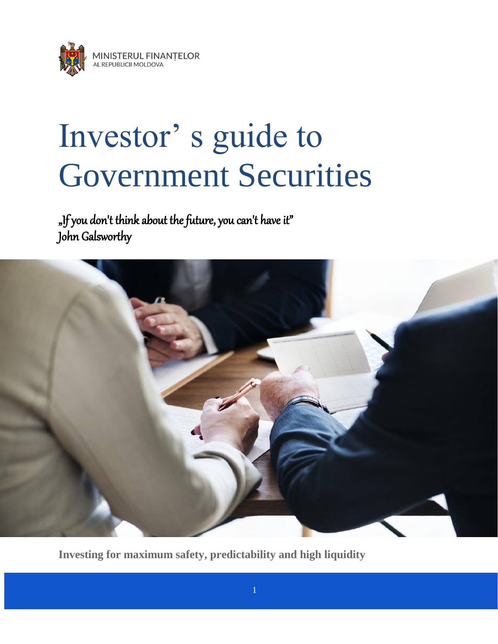

# Investor' s guide to Government Securities

"If you don't think about the future, you can't have it" John Galsworthy



**Investing for maximum safety, predictability and high liquidity**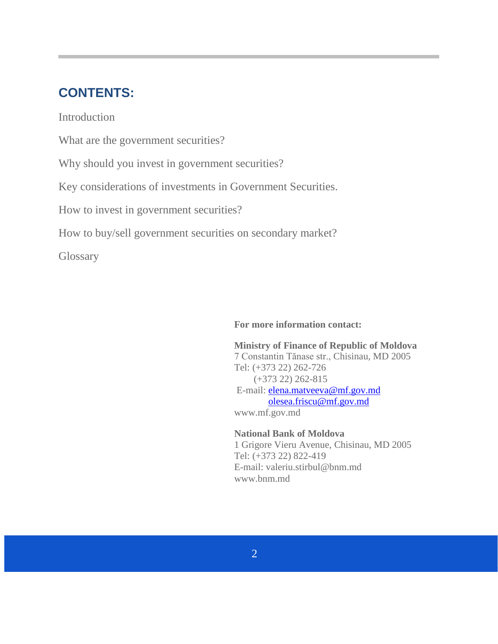## **CONTENTS:**

**Introduction** 

What are the government securities?

Why should you invest in government securities?

Key considerations of investments in Government Securities.

How to invest in government securities?

How to buy/sell government securities on secondary market?

**Glossary** 

### **For more information contact:**

**Ministry of Finance of Republic of Moldova** 7 Constantin Tănase str., Chisinau, MD 2005 Tel: (+373 22) 262-726 (+373 22) 262-815 E-mail: [elena.matveeva@mf.gov.md](mailto:elena.matveeva@mf.gov.md) [olesea.friscu@mf.gov.md](mailto:olesea.friscu@mf.gov.md) [www.mf.gov.md](http://www.mf.gov.md/)

**National Bank of Moldova** 1 Grigore Vieru Avenue, Chisinau, MD 2005 Tel: (+373 22) 822-419 E-mail: valeriu.stirbul@bnm.md [www.bnm.md](http://www.bnm.md/)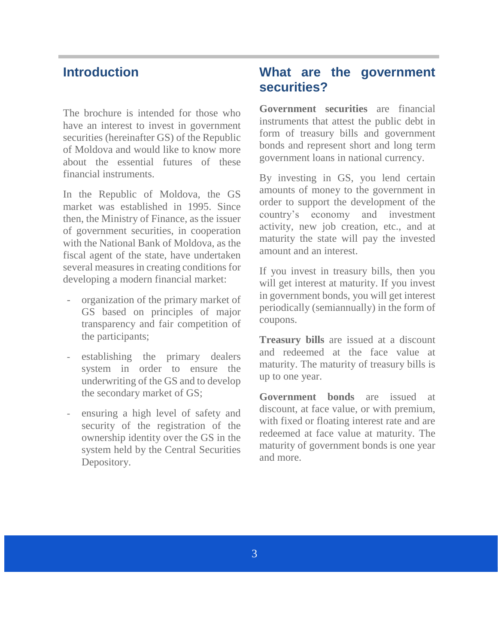## **Introduction**

The brochure is intended for those who have an interest to invest in government securities (hereinafter GS) of the Republic of Moldova and would like to know more about the essential futures of these financial instruments.

In the Republic of Moldova, the GS market was established in 1995. Since then, the Ministry of Finance, as the issuer of government securities, in cooperation with the National Bank of Moldova, as the fiscal agent of the state, have undertaken several measures in creating conditions for developing a modern financial market:

- organization of the primary market of GS based on principles of major transparency and fair competition of the participants;
- establishing the primary dealers system in order to ensure the underwriting of the GS and to develop the secondary market of GS;
- ensuring a high level of safety and security of the registration of the ownership identity over the GS in the system held by the Central Securities Depository.

## **What are the government securities?**

**Government securities** are financial instruments that attest the public debt in form of treasury bills and government bonds and represent short and long term government loans in national currency.

By investing in GS, you lend certain amounts of money to the government in order to support the development of the country's economy and investment activity, new job creation, etc., and at maturity the state will pay the invested amount and an interest.

If you invest in treasury bills, then you will get interest at maturity. If you invest in government bonds, you will get interest periodically (semiannually) in the form of coupons.

**Treasury bills** are issued at a discount and redeemed at the face value at maturity. The maturity of treasury bills is up to one year.

**Government bonds** are issued at discount, at face value, or with premium, with fixed or floating interest rate and are redeemed at face value at maturity. The maturity of government bonds is one year and more.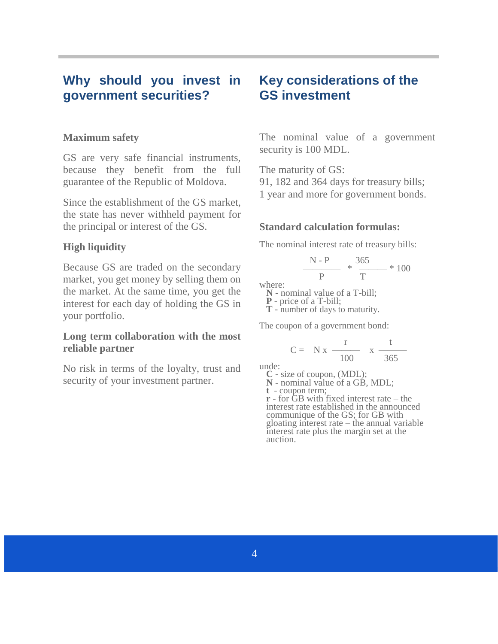## **Why should you invest in government securities?**

#### **Maximum safety**

GS are very safe financial instruments, because they benefit from the full guarantee of the Republic of Moldova.

Since the establishment of the GS market, the state has never withheld payment for the principal or interest of the GS.

#### **High liquidity**

Because GS are traded on the secondary market, you get money by selling them on the market. At the same time, you get the interest for each day of holding the GS in your portfolio.

#### **Long term collaboration with the most reliable partner**

No risk in terms of the loyalty, trust and security of your investment partner.

## **Key considerations of the GS investment**

The nominal value of a government security is 100 MDL.

The maturity of GS: 91, 182 and 364 days for treasury bills; 1 year and more for government bonds.

#### **Standard calculation formulas:**

The nominal interest rate of treasury bills:

$$
\frac{N-P}{P} * \frac{365}{T} * 100
$$

where:

**N** - nominal value of a T-bill;

**P** - price of a T-bill;

**T** - number of days to maturity.

The coupon of a government bond:

$$
C = N x \frac{r}{100} x \frac{t}{365}
$$

unde:

**C** - size of coupon, (MDL);

**N** - nominal value of a GB, MDL;

**t** - coupon term;

**r** - for GB with fixed interest rate – the interest rate established in the announced communique of the GS; for GB with gloating interest rate – the annual variable interest rate plus the margin set at the auction.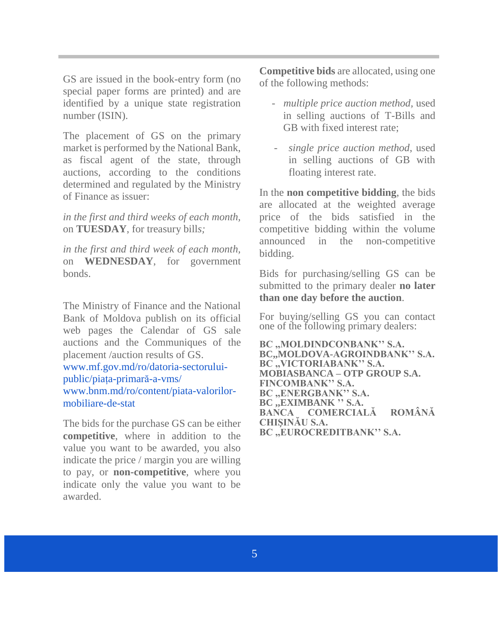GS are issued in the book-entry form (no special paper forms are printed) and are identified by a unique state registration number (ISIN).

The placement of GS on the primary market is performed by the National Bank, as fiscal agent of the state, through auctions, according to the conditions determined and regulated by the Ministry of Finance as issuer:

*in the first and third weeks of each month,*  on **TUESDAY**, for treasury bill*s;*

*in the first and third week of each month,*  on **WEDNESDAY**, for government bonds.

The Ministry of Finance and the National Bank of Moldova publish on its official web pages the Calendar of GS sale auctions and the Communiques of the placement /auction results of GS.

[www.mf.gov.md/ro/datoria-sectorului](http://www.mf.gov.md/ro/datoria-sectorului-public/pia%C8%9Ba-primar%C4%83-a-vms/)[public/piața-primară-a-vms/](http://www.mf.gov.md/ro/datoria-sectorului-public/pia%C8%9Ba-primar%C4%83-a-vms/) www.bnm.md/ro/content/piata-valorilormobiliare-de-stat

The bids for the purchase GS can be either **competitive**, where in addition to the value you want to be awarded, you also indicate the price / margin you are willing to pay, or **non-competitive**, where you indicate only the value you want to be awarded.

**Competitive bids** are allocated, using one of the following methods:

- *multiple price auction method,* used in selling auctions of T-Bills and GB with fixed interest rate;
- *single price auction method*, used in selling auctions of GB with floating interest rate.

In the **non competitive bidding**, the bids are allocated at the weighted average price of the bids satisfied in the competitive bidding within the volume announced in the non-competitive bidding.

Bids for purchasing/selling GS can be submitted to the primary dealer **no later than one day before the auction**.

For buying/selling GS you can contact one of the following primary dealers:

**BC ,,MOLDINDCONBANK'' S.A. BC,,MOLDOVA-AGROINDBANK'' S.A. BC ,,VICTORIABANK'' S.A. MOBIASBANCA – OTP GROUP S.A. FINCOMBANK'' S.A. BC ,,ENERGBANK'' S.A. BC ,,EXIMBANK '' S.A. BANCA COMERCIALĂ ROMÂNĂ CHIŞINĂU S.A. BC ,,EUROCREDITBANK'' S.A.**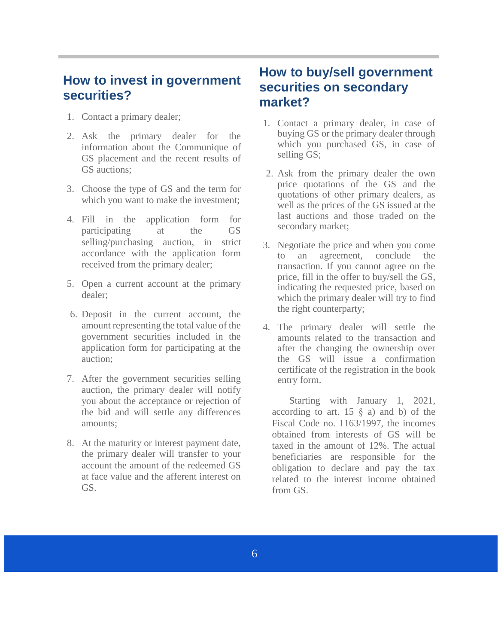## **How to invest in government securities?**

- 1. Contact a primary dealer;
- 2. Ask the primary dealer for the information about the Communique of GS placement and the recent results of GS auctions;
- 3. Choose the type of GS and the term for which you want to make the investment;
- 4. Fill in the application form for participating at the GS selling/purchasing auction, in strict accordance with the application form received from the primary dealer;
- 5. Open a current account at the primary dealer;
- 6. Deposit in the current account, the amount representing the total value of the government securities included in the application form for participating at the auction;
- 7. After the government securities selling auction, the primary dealer will notify you about the acceptance or rejection of the bid and will settle any differences amounts;
- 8. At the maturity or interest payment date, the primary dealer will transfer to your account the amount of the redeemed GS at face value and the afferent interest on GS.

## **How to buy/sell government securities on secondary market?**

- 1. Contact a primary dealer, in case of buying GS or the primary dealer through which you purchased GS, in case of selling GS;
- 2. Ask from the primary dealer the own price quotations of the GS and the quotations of other primary dealers, as well as the prices of the GS issued at the last auctions and those traded on the secondary market;
- 3. Negotiate the price and when you come to an agreement, conclude the transaction. If you cannot agree on the price, fill in the offer to buy/sell the GS, indicating the requested price, based on which the primary dealer will try to find the right counterparty;
- 4. The primary dealer will settle the amounts related to the transaction and after the changing the ownership over the GS will issue a confirmation certificate of the registration in the book entry form.

Starting with January 1, 2021, according to art. 15  $\S$  a) and b) of the Fiscal Code no. 1163/1997, the incomes obtained from interests of GS will be taxed in the amount of 12%. The actual beneficiaries are responsible for the obligation to declare and pay the tax related to the interest income obtained from GS.